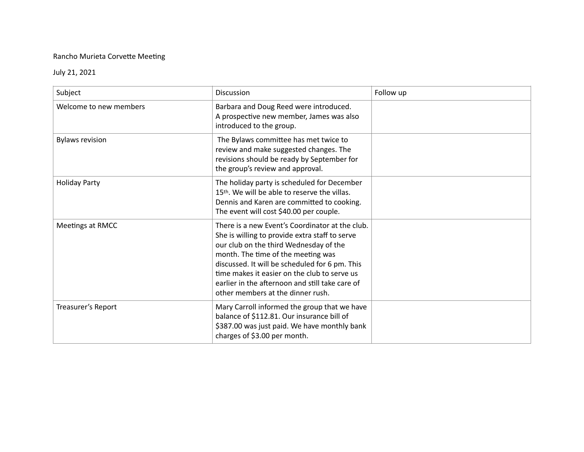## Rancho Murieta Corvette Meeting

## July 21, 2021

| Subject                | <b>Discussion</b>                                                                                                                                                                                                                                                                                                                                                           | Follow up |
|------------------------|-----------------------------------------------------------------------------------------------------------------------------------------------------------------------------------------------------------------------------------------------------------------------------------------------------------------------------------------------------------------------------|-----------|
| Welcome to new members | Barbara and Doug Reed were introduced.<br>A prospective new member, James was also<br>introduced to the group.                                                                                                                                                                                                                                                              |           |
| <b>Bylaws revision</b> | The Bylaws committee has met twice to<br>review and make suggested changes. The<br>revisions should be ready by September for<br>the group's review and approval.                                                                                                                                                                                                           |           |
| <b>Holiday Party</b>   | The holiday party is scheduled for December<br>15th. We will be able to reserve the villas.<br>Dennis and Karen are committed to cooking.<br>The event will cost \$40.00 per couple.                                                                                                                                                                                        |           |
| Meetings at RMCC       | There is a new Event's Coordinator at the club.<br>She is willing to provide extra staff to serve<br>our club on the third Wednesday of the<br>month. The time of the meeting was<br>discussed. It will be scheduled for 6 pm. This<br>time makes it easier on the club to serve us<br>earlier in the afternoon and still take care of<br>other members at the dinner rush. |           |
| Treasurer's Report     | Mary Carroll informed the group that we have<br>balance of \$112.81. Our insurance bill of<br>\$387.00 was just paid. We have monthly bank<br>charges of \$3.00 per month.                                                                                                                                                                                                  |           |